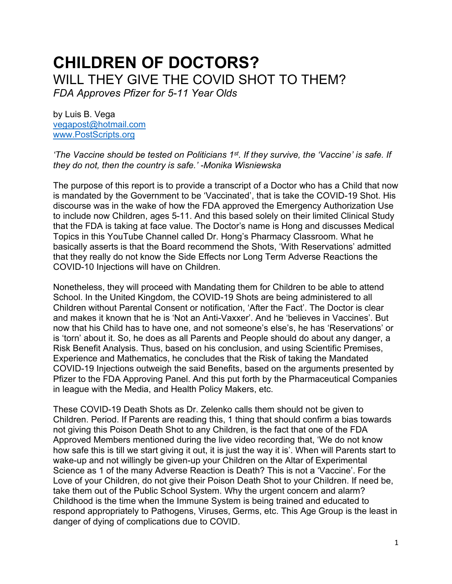# **CHILDREN OF DOCTORS?** WILL THEY GIVE THE COVID SHOT TO THEM?

*FDA Approves Pfizer for 5-11 Year Olds*

by Luis B. Vega [vegapost@hotmail.com](mailto:vegapost@hotmail.com) [www.PostScripts.org](http://www.postscripts.org/)

*'The Vaccine should be tested on Politicians 1<sup>st</sup>. If they survive, the 'Vaccine' is safe. If they do not, then the country is safe.' -Monika Wisniewska*

The purpose of this report is to provide a transcript of a Doctor who has a Child that now is mandated by the Government to be 'Vaccinated', that is take the COVID-19 Shot. His discourse was in the wake of how the FDA approved the Emergency Authorization Use to include now Children, ages 5-11. And this based solely on their limited Clinical Study that the FDA is taking at face value. The Doctor's name is Hong and discusses Medical Topics in this YouTube Channel called Dr. Hong's Pharmacy Classroom. What he basically asserts is that the Board recommend the Shots, 'With Reservations' admitted that they really do not know the Side Effects nor Long Term Adverse Reactions the COVID-10 Injections will have on Children.

Nonetheless, they will proceed with Mandating them for Children to be able to attend School. In the United Kingdom, the COVID-19 Shots are being administered to all Children without Parental Consent or notification, 'After the Fact'. The Doctor is clear and makes it known that he is 'Not an Anti-Vaxxer'. And he 'believes in Vaccines'. But now that his Child has to have one, and not someone's else's, he has 'Reservations' or is 'torn' about it. So, he does as all Parents and People should do about any danger, a Risk Benefit Analysis. Thus, based on his conclusion, and using Scientific Premises, Experience and Mathematics, he concludes that the Risk of taking the Mandated COVID-19 Injections outweigh the said Benefits, based on the arguments presented by Pfizer to the FDA Approving Panel. And this put forth by the Pharmaceutical Companies in league with the Media, and Health Policy Makers, etc.

These COVID-19 Death Shots as Dr. Zelenko calls them should not be given to Children. Period. If Parents are reading this, 1 thing that should confirm a bias towards not giving this Poison Death Shot to any Children, is the fact that one of the FDA Approved Members mentioned during the live video recording that, 'We do not know how safe this is till we start giving it out, it is just the way it is'. When will Parents start to wake-up and not willingly be given-up your Children on the Altar of Experimental Science as 1 of the many Adverse Reaction is Death? This is not a 'Vaccine'. For the Love of your Children, do not give their Poison Death Shot to your Children. If need be, take them out of the Public School System. Why the urgent concern and alarm? Childhood is the time when the Immune System is being trained and educated to respond appropriately to Pathogens, Viruses, Germs, etc. This Age Group is the least in danger of dying of complications due to COVID.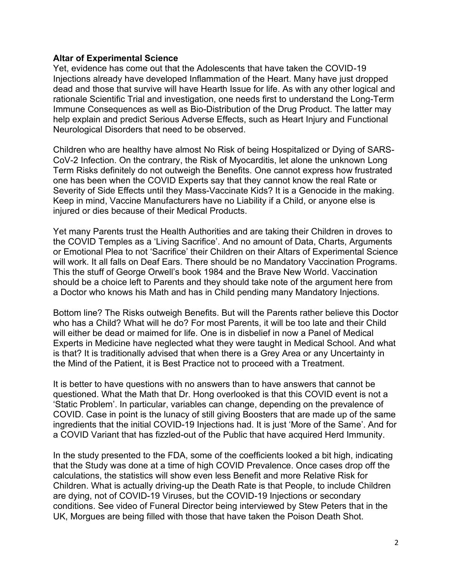### **Altar of Experimental Science**

Yet, evidence has come out that the Adolescents that have taken the COVID-19 Injections already have developed Inflammation of the Heart. Many have just dropped dead and those that survive will have Hearth Issue for life. As with any other logical and rationale Scientific Trial and investigation, one needs first to understand the Long-Term Immune Consequences as well as Bio-Distribution of the Drug Product. The latter may help explain and predict Serious Adverse Effects, such as Heart Injury and Functional Neurological Disorders that need to be observed.

Children who are healthy have almost No Risk of being Hospitalized or Dying of SARS-CoV-2 Infection. On the contrary, the Risk of Myocarditis, let alone the unknown Long Term Risks definitely do not outweigh the Benefits. One cannot express how frustrated one has been when the COVID Experts say that they cannot know the real Rate or Severity of Side Effects until they Mass-Vaccinate Kids? It is a Genocide in the making. Keep in mind, Vaccine Manufacturers have no Liability if a Child, or anyone else is injured or dies because of their Medical Products.

Yet many Parents trust the Health Authorities and are taking their Children in droves to the COVID Temples as a 'Living Sacrifice'. And no amount of Data, Charts, Arguments or Emotional Plea to not 'Sacrifice' their Children on their Altars of Experimental Science will work. It all falls on Deaf Ears. There should be no Mandatory Vaccination Programs. This the stuff of George Orwell's book 1984 and the Brave New World. Vaccination should be a choice left to Parents and they should take note of the argument here from a Doctor who knows his Math and has in Child pending many Mandatory Injections.

Bottom line? The Risks outweigh Benefits. But will the Parents rather believe this Doctor who has a Child? What will he do? For most Parents, it will be too late and their Child will either be dead or maimed for life. One is in disbelief in now a Panel of Medical Experts in Medicine have neglected what they were taught in Medical School. And what is that? It is traditionally advised that when there is a Grey Area or any Uncertainty in the Mind of the Patient, it is Best Practice not to proceed with a Treatment.

It is better to have questions with no answers than to have answers that cannot be questioned. What the Math that Dr. Hong overlooked is that this COVID event is not a 'Static Problem'. In particular, variables can change, depending on the prevalence of COVID. Case in point is the lunacy of still giving Boosters that are made up of the same ingredients that the initial COVID-19 Injections had. It is just 'More of the Same'. And for a COVID Variant that has fizzled-out of the Public that have acquired Herd Immunity.

In the study presented to the FDA, some of the coefficients looked a bit high, indicating that the Study was done at a time of high COVID Prevalence. Once cases drop off the calculations, the statistics will show even less Benefit and more Relative Risk for Children. What is actually driving-up the Death Rate is that People, to include Children are dying, not of COVID-19 Viruses, but the COVID-19 Injections or secondary conditions. See video of Funeral Director being interviewed by Stew Peters that in the UK, Morgues are being filled with those that have taken the Poison Death Shot.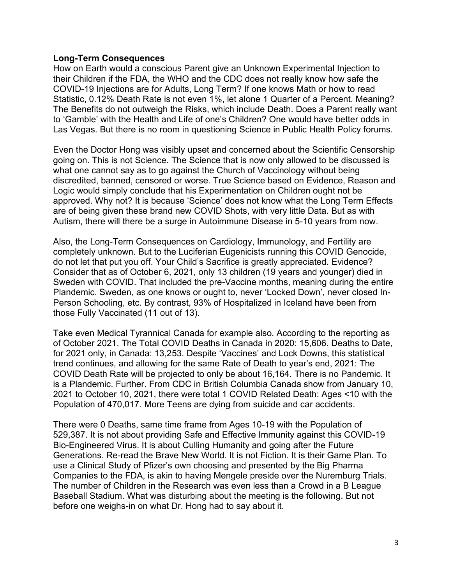### **Long-Term Consequences**

How on Earth would a conscious Parent give an Unknown Experimental Injection to their Children if the FDA, the WHO and the CDC does not really know how safe the COVID-19 Injections are for Adults, Long Term? If one knows Math or how to read Statistic, 0.12% Death Rate is not even 1%, let alone 1 Quarter of a Percent. Meaning? The Benefits do not outweigh the Risks, which include Death. Does a Parent really want to 'Gamble' with the Health and Life of one's Children? One would have better odds in Las Vegas. But there is no room in questioning Science in Public Health Policy forums.

Even the Doctor Hong was visibly upset and concerned about the Scientific Censorship going on. This is not Science. The Science that is now only allowed to be discussed is what one cannot say as to go against the Church of Vaccinology without being discredited, banned, censored or worse. True Science based on Evidence, Reason and Logic would simply conclude that his Experimentation on Children ought not be approved. Why not? It is because 'Science' does not know what the Long Term Effects are of being given these brand new COVID Shots, with very little Data. But as with Autism, there will there be a surge in Autoimmune Disease in 5-10 years from now.

Also, the Long-Term Consequences on Cardiology, Immunology, and Fertility are completely unknown. But to the Luciferian Eugenicists running this COVID Genocide, do not let that put you off. Your Child's Sacrifice is greatly appreciated. Evidence? Consider that as of October 6, 2021, only 13 children (19 years and younger) died in Sweden with COVID. That included the pre-Vaccine months, meaning during the entire Plandemic. Sweden, as one knows or ought to, never 'Locked Down', never closed In-Person Schooling, etc. By contrast, 93% of Hospitalized in Iceland have been from those Fully Vaccinated (11 out of 13).

Take even Medical Tyrannical Canada for example also. According to the reporting as of October 2021. The Total COVID Deaths in Canada in 2020: 15,606. Deaths to Date, for 2021 only, in Canada: 13,253. Despite 'Vaccines' and Lock Downs, this statistical trend continues, and allowing for the same Rate of Death to year's end, 2021: The COVID Death Rate will be projected to only be about 16,164. There is no Pandemic. It is a Plandemic. Further. From CDC in British Columbia Canada show from January 10, 2021 to October 10, 2021, there were total 1 COVID Related Death: Ages <10 with the Population of 470,017. More Teens are dying from suicide and car accidents.

There were 0 Deaths, same time frame from Ages 10-19 with the Population of 529,387. It is not about providing Safe and Effective Immunity against this COVID-19 Bio-Engineered Virus. It is about Culling Humanity and going after the Future Generations. Re-read the Brave New World. It is not Fiction. It is their Game Plan. To use a Clinical Study of Pfizer's own choosing and presented by the Big Pharma Companies to the FDA, is akin to having Mengele preside over the Nuremburg Trials. The number of Children in the Research was even less than a Crowd in a B League Baseball Stadium. What was disturbing about the meeting is the following. But not before one weighs-in on what Dr. Hong had to say about it.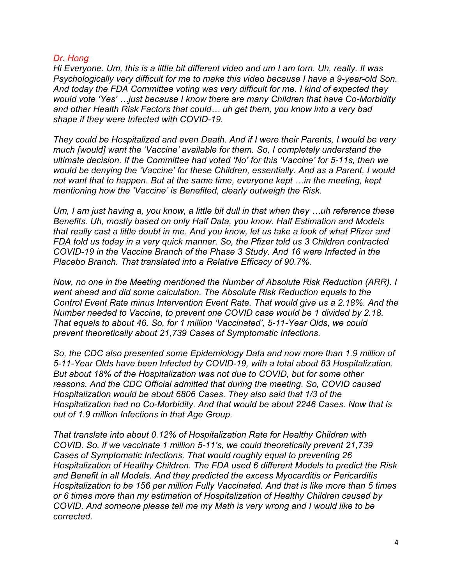### *Dr. Hong*

*Hi Everyone. Um, this is a little bit different video and um I am torn. Uh, really. It was Psychologically very difficult for me to make this video because I have a 9-year-old Son. And today the FDA Committee voting was very difficult for me. I kind of expected they would vote 'Yes' …just because I know there are many Children that have Co-Morbidity and other Health Risk Factors that could… uh get them, you know into a very bad shape if they were Infected with COVID-19.*

*They could be Hospitalized and even Death. And if I were their Parents, I would be very much [would] want the 'Vaccine' available for them. So, I completely understand the ultimate decision. If the Committee had voted 'No' for this 'Vaccine' for 5-11s, then we would be denying the 'Vaccine' for these Children, essentially. And as a Parent, I would not want that to happen. But at the same time, everyone kept …in the meeting, kept mentioning how the 'Vaccine' is Benefited, clearly outweigh the Risk.*

*Um, I am just having a, you know, a little bit dull in that when they …uh reference these Benefits. Uh, mostly based on only Half Data, you know. Half Estimation and Models that really cast a little doubt in me. And you know, let us take a look of what Pfizer and FDA told us today in a very quick manner. So, the Pfizer told us 3 Children contracted COVID-19 in the Vaccine Branch of the Phase 3 Study. And 16 were Infected in the Placebo Branch. That translated into a Relative Efficacy of 90.7%.* 

*Now, no one in the Meeting mentioned the Number of Absolute Risk Reduction (ARR). I went ahead and did some calculation. The Absolute Risk Reduction equals to the Control Event Rate minus Intervention Event Rate. That would give us a 2.18%. And the Number needed to Vaccine, to prevent one COVID case would be 1 divided by 2.18. That equals to about 46. So, for 1 million 'Vaccinated', 5-11-Year Olds, we could prevent theoretically about 21,739 Cases of Symptomatic Infections.*

*So, the CDC also presented some Epidemiology Data and now more than 1.9 million of 5-11-Year Olds have been Infected by COVID-19, with a total about 83 Hospitalization. But about 18% of the Hospitalization was not due to COVID, but for some other reasons. And the CDC Official admitted that during the meeting. So, COVID caused Hospitalization would be about 6806 Cases. They also said that 1/3 of the Hospitalization had no Co-Morbidity. And that would be about 2246 Cases. Now that is out of 1.9 million Infections in that Age Group.* 

*That translate into about 0.12% of Hospitalization Rate for Healthy Children with COVID. So, if we vaccinate 1 million 5-11's, we could theoretically prevent 21,739 Cases of Symptomatic Infections. That would roughly equal to preventing 26 Hospitalization of Healthy Children. The FDA used 6 different Models to predict the Risk and Benefit in all Models. And they predicted the excess Myocarditis or Pericarditis Hospitalization to be 156 per million Fully Vaccinated. And that is like more than 5 times or 6 times more than my estimation of Hospitalization of Healthy Children caused by COVID. And someone please tell me my Math is very wrong and I would like to be corrected.*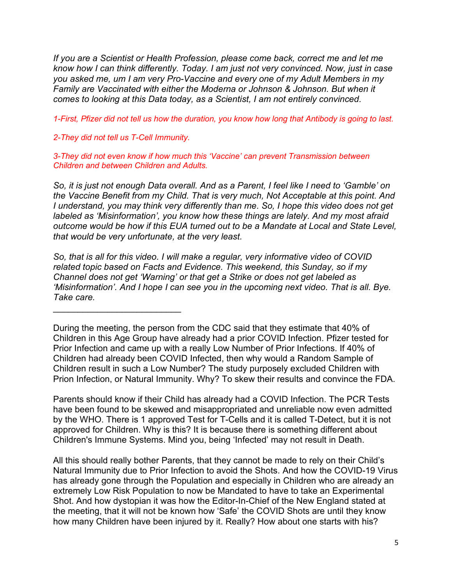*If you are a Scientist or Health Profession, please come back, correct me and let me know how I can think differently. Today. I am just not very convinced. Now, just in case you asked me, um I am very Pro-Vaccine and every one of my Adult Members in my Family are Vaccinated with either the Moderna or Johnson & Johnson. But when it comes to looking at this Data today, as a Scientist, I am not entirely convinced.* 

*1-First, Pfizer did not tell us how the duration, you know how long that Antibody is going to last.* 

*2-They did not tell us T-Cell Immunity.* 

 $\mathcal{L}_\text{max}$  , where  $\mathcal{L}_\text{max}$  , we have the set of the set of the set of the set of the set of the set of the set of the set of the set of the set of the set of the set of the set of the set of the set of the set of

*3-They did not even know if how much this 'Vaccine' can prevent Transmission between Children and between Children and Adults.*

*So, it is just not enough Data overall. And as a Parent, I feel like I need to 'Gamble' on the Vaccine Benefit from my Child. That is very much, Not Acceptable at this point. And I understand, you may think very differently than me. So, I hope this video does not get labeled as 'Misinformation', you know how these things are lately. And my most afraid outcome would be how if this EUA turned out to be a Mandate at Local and State Level, that would be very unfortunate, at the very least.*

*So, that is all for this video. I will make a regular, very informative video of COVID related topic based on Facts and Evidence. This weekend, this Sunday, so if my Channel does not get 'Warning' or that get a Strike or does not get labeled as 'Misinformation'. And I hope I can see you in the upcoming next video. That is all. Bye. Take care.*

During the meeting, the person from the CDC said that they estimate that 40% of Children in this Age Group have already had a prior COVID Infection. Pfizer tested for Prior Infection and came up with a really Low Number of Prior Infections. If 40% of Children had already been COVID Infected, then why would a Random Sample of Children result in such a Low Number? The study purposely excluded Children with Prion Infection, or Natural Immunity. Why? To skew their results and convince the FDA.

Parents should know if their Child has already had a COVID Infection. The PCR Tests have been found to be skewed and misappropriated and unreliable now even admitted by the WHO. There is 1 approved Test for T-Cells and it is called T-Detect, but it is not approved for Children. Why is this? It is because there is something different about Children's Immune Systems. Mind you, being 'Infected' may not result in Death.

All this should really bother Parents, that they cannot be made to rely on their Child's Natural Immunity due to Prior Infection to avoid the Shots. And how the COVID-19 Virus has already gone through the Population and especially in Children who are already an extremely Low Risk Population to now be Mandated to have to take an Experimental Shot. And how dystopian it was how the Editor-In-Chief of the New England stated at the meeting, that it will not be known how 'Safe' the COVID Shots are until they know how many Children have been injured by it. Really? How about one starts with his?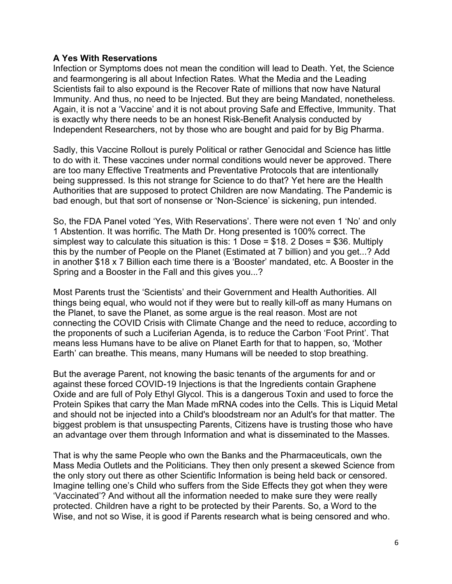## **A Yes With Reservations**

Infection or Symptoms does not mean the condition will lead to Death. Yet, the Science and fearmongering is all about Infection Rates. What the Media and the Leading Scientists fail to also expound is the Recover Rate of millions that now have Natural Immunity. And thus, no need to be Injected. But they are being Mandated, nonetheless. Again, it is not a 'Vaccine' and it is not about proving Safe and Effective, Immunity. That is exactly why there needs to be an honest Risk-Benefit Analysis conducted by Independent Researchers, not by those who are bought and paid for by Big Pharma.

Sadly, this Vaccine Rollout is purely Political or rather Genocidal and Science has little to do with it. These vaccines under normal conditions would never be approved. There are too many Effective Treatments and Preventative Protocols that are intentionally being suppressed. Is this not strange for Science to do that? Yet here are the Health Authorities that are supposed to protect Children are now Mandating. The Pandemic is bad enough, but that sort of nonsense or 'Non-Science' is sickening, pun intended.

So, the FDA Panel voted 'Yes, With Reservations'. There were not even 1 'No' and only 1 Abstention. It was horrific. The Math Dr. Hong presented is 100% correct. The simplest way to calculate this situation is this: 1 Dose = \$18. 2 Doses = \$36. Multiply this by the number of People on the Planet (Estimated at 7 billion) and you get...? Add in another \$18 x 7 Billion each time there is a 'Booster' mandated, etc. A Booster in the Spring and a Booster in the Fall and this gives you...?

Most Parents trust the 'Scientists' and their Government and Health Authorities. All things being equal, who would not if they were but to really kill-off as many Humans on the Planet, to save the Planet, as some argue is the real reason. Most are not connecting the COVID Crisis with Climate Change and the need to reduce, according to the proponents of such a Luciferian Agenda, is to reduce the Carbon 'Foot Print'. That means less Humans have to be alive on Planet Earth for that to happen, so, 'Mother Earth' can breathe. This means, many Humans will be needed to stop breathing.

But the average Parent, not knowing the basic tenants of the arguments for and or against these forced COVID-19 Injections is that the Ingredients contain Graphene Oxide and are full of Poly Ethyl Glycol. This is a dangerous Toxin and used to force the Protein Spikes that carry the Man Made mRNA codes into the Cells. This is Liquid Metal and should not be injected into a Child's bloodstream nor an Adult's for that matter. The biggest problem is that unsuspecting Parents, Citizens have is trusting those who have an advantage over them through Information and what is disseminated to the Masses.

That is why the same People who own the Banks and the Pharmaceuticals, own the Mass Media Outlets and the Politicians. They then only present a skewed Science from the only story out there as other Scientific Information is being held back or censored. Imagine telling one's Child who suffers from the Side Effects they got when they were 'Vaccinated'? And without all the information needed to make sure they were really protected. Children have a right to be protected by their Parents. So, a Word to the Wise, and not so Wise, it is good if Parents research what is being censored and who.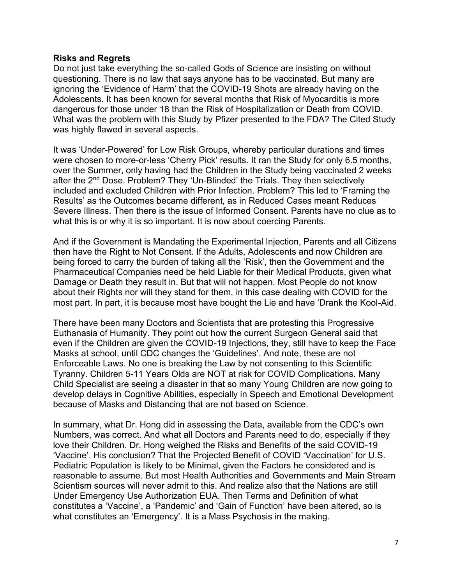### **Risks and Regrets**

Do not just take everything the so-called Gods of Science are insisting on without questioning. There is no law that says anyone has to be vaccinated. But many are ignoring the 'Evidence of Harm' that the COVID-19 Shots are already having on the Adolescents. It has been known for several months that Risk of Myocarditis is more dangerous for those under 18 than the Risk of Hospitalization or Death from COVID. What was the problem with this Study by Pfizer presented to the FDA? The Cited Study was highly flawed in several aspects.

It was 'Under-Powered' for Low Risk Groups, whereby particular durations and times were chosen to more-or-less 'Cherry Pick' results. It ran the Study for only 6.5 months, over the Summer, only having had the Children in the Study being vaccinated 2 weeks after the 2<sup>nd</sup> Dose. Problem? They 'Un-Blinded' the Trials. They then selectively included and excluded Children with Prior Infection. Problem? This led to 'Framing the Results' as the Outcomes became different, as in Reduced Cases meant Reduces Severe Illness. Then there is the issue of Informed Consent. Parents have no clue as to what this is or why it is so important. It is now about coercing Parents.

And if the Government is Mandating the Experimental Injection, Parents and all Citizens then have the Right to Not Consent. If the Adults, Adolescents and now Children are being forced to carry the burden of taking all the 'Risk', then the Government and the Pharmaceutical Companies need be held Liable for their Medical Products, given what Damage or Death they result in. But that will not happen. Most People do not know about their Rights nor will they stand for them, in this case dealing with COVID for the most part. In part, it is because most have bought the Lie and have 'Drank the Kool-Aid.

There have been many Doctors and Scientists that are protesting this Progressive Euthanasia of Humanity. They point out how the current Surgeon General said that even if the Children are given the COVID-19 Injections, they, still have to keep the Face Masks at school, until CDC changes the 'Guidelines'. And note, these are not Enforceable Laws. No one is breaking the Law by not consenting to this Scientific Tyranny. Children 5-11 Years Olds are NOT at risk for COVID Complications. Many Child Specialist are seeing a disaster in that so many Young Children are now going to develop delays in Cognitive Abilities, especially in Speech and Emotional Development because of Masks and Distancing that are not based on Science.

In summary, what Dr. Hong did in assessing the Data, available from the CDC's own Numbers, was correct. And what all Doctors and Parents need to do, especially if they love their Children. Dr. Hong weighed the Risks and Benefits of the said COVID-19 'Vaccine'. His conclusion? That the Projected Benefit of COVID 'Vaccination' for U.S. Pediatric Population is likely to be Minimal, given the Factors he considered and is reasonable to assume. But most Health Authorities and Governments and Main Stream Scientism sources will never admit to this. And realize also that the Nations are still Under Emergency Use Authorization EUA. Then Terms and Definition of what constitutes a 'Vaccine', a 'Pandemic' and 'Gain of Function' have been altered, so is what constitutes an 'Emergency'. It is a Mass Psychosis in the making.